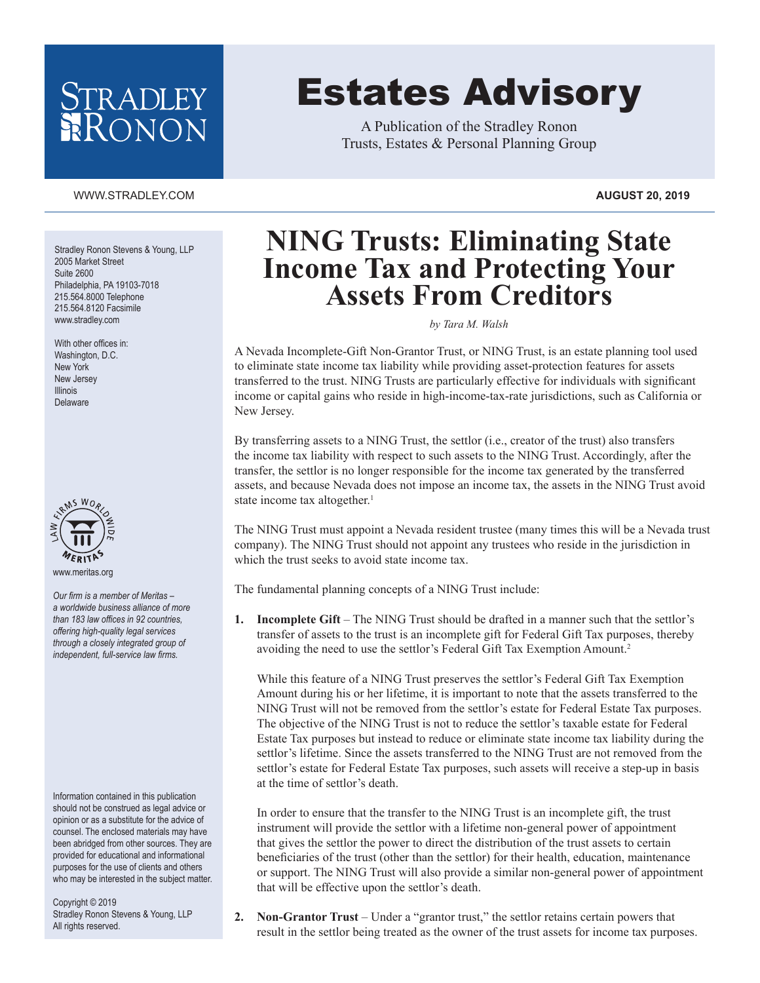## STRADLEY RONON

# Estates Advisory

A Publication of the Stradley Ronon Trusts, Estates & Personal Planning Group

#### WWW.STRADLEY.COM **AUGUST 20, 2019**

Stradley Ronon Stevens & Young, LLP 2005 Market Street Suite 2600 Philadelphia, PA 19103-7018 215.564.8000 Telephone 215.564.8120 Facsimile www.stradley.com

With other offices in: Washington, D.C. New York New Jersey Illinois Delaware



*Our firm is a member of Meritas – a worldwide business alliance of more than 183 law offices in 92 countries, offering high-quality legal services through a closely integrated group of independent, full-service law firms.*

Information contained in this publication should not be construed as legal advice or opinion or as a substitute for the advice of counsel. The enclosed materials may have been abridged from other sources. They are provided for educational and informational purposes for the use of clients and others who may be interested in the subject matter.

Copyright © 2019 Stradley Ronon Stevens & Young, LLP All rights reserved.

### **NING Trusts: Eliminating State Income Tax and Protecting Your Assets From Creditors**

*by Tara M. Walsh*

A Nevada Incomplete-Gift Non-Grantor Trust, or NING Trust, is an estate planning tool used to eliminate state income tax liability while providing asset-protection features for assets transferred to the trust. NING Trusts are particularly effective for individuals with significant income or capital gains who reside in high-income-tax-rate jurisdictions, such as California or New Jersey.

By transferring assets to a NING Trust, the settlor (i.e., creator of the trust) also transfers the income tax liability with respect to such assets to the NING Trust. Accordingly, after the transfer, the settlor is no longer responsible for the income tax generated by the transferred assets, and because Nevada does not impose an income tax, the assets in the NING Trust avoid state income tax altogether.<sup>1</sup>

The NING Trust must appoint a Nevada resident trustee (many times this will be a Nevada trust company). The NING Trust should not appoint any trustees who reside in the jurisdiction in which the trust seeks to avoid state income tax.

The fundamental planning concepts of a NING Trust include:

**1. Incomplete Gift** – The NING Trust should be drafted in a manner such that the settlor's transfer of assets to the trust is an incomplete gift for Federal Gift Tax purposes, thereby avoiding the need to use the settlor's Federal Gift Tax Exemption Amount.2

While this feature of a NING Trust preserves the settlor's Federal Gift Tax Exemption Amount during his or her lifetime, it is important to note that the assets transferred to the NING Trust will not be removed from the settlor's estate for Federal Estate Tax purposes. The objective of the NING Trust is not to reduce the settlor's taxable estate for Federal Estate Tax purposes but instead to reduce or eliminate state income tax liability during the settlor's lifetime. Since the assets transferred to the NING Trust are not removed from the settlor's estate for Federal Estate Tax purposes, such assets will receive a step-up in basis at the time of settlor's death.

In order to ensure that the transfer to the NING Trust is an incomplete gift, the trust instrument will provide the settlor with a lifetime non-general power of appointment that gives the settlor the power to direct the distribution of the trust assets to certain beneficiaries of the trust (other than the settlor) for their health, education, maintenance or support. The NING Trust will also provide a similar non-general power of appointment that will be effective upon the settlor's death.

**2. Non-Grantor Trust** – Under a "grantor trust," the settlor retains certain powers that result in the settlor being treated as the owner of the trust assets for income tax purposes.